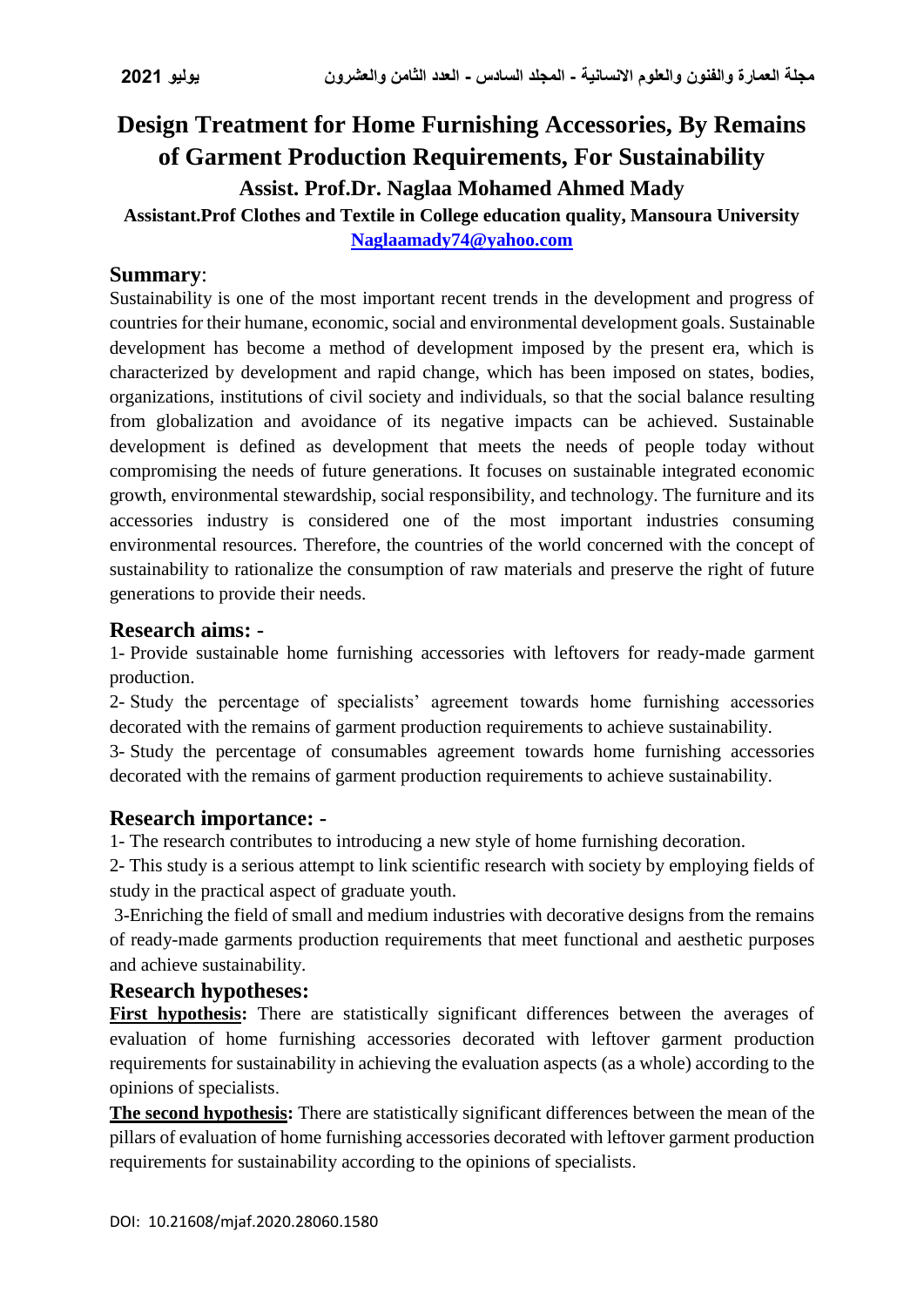# **Design Treatment for Home Furnishing Accessories, By Remains of Garment Production Requirements, For Sustainability Assist. Prof.Dr. Naglaa Mohamed Ahmed Mady**

# **Assistant.Prof Clothes and Textile in College education quality, Mansoura University [Naglaamady74@yahoo.com](mailto:Naglaamady74@yahoo.com)**

#### **Summary**:

Sustainability is one of the most important recent trends in the development and progress of countries for their humane, economic, social and environmental development goals. Sustainable development has become a method of development imposed by the present era, which is characterized by development and rapid change, which has been imposed on states, bodies, organizations, institutions of civil society and individuals, so that the social balance resulting from globalization and avoidance of its negative impacts can be achieved. Sustainable development is defined as development that meets the needs of people today without compromising the needs of future generations. It focuses on sustainable integrated economic growth, environmental stewardship, social responsibility, and technology. The furniture and its accessories industry is considered one of the most important industries consuming environmental resources. Therefore, the countries of the world concerned with the concept of sustainability to rationalize the consumption of raw materials and preserve the right of future generations to provide their needs.

#### **Research aims: -**

1- Provide sustainable home furnishing accessories with leftovers for ready-made garment production.

2- Study the percentage of specialists' agreement towards home furnishing accessories decorated with the remains of garment production requirements to achieve sustainability.

3- Study the percentage of consumables agreement towards home furnishing accessories decorated with the remains of garment production requirements to achieve sustainability.

## **Research importance: -**

1- The research contributes to introducing a new style of home furnishing decoration.

2- This study is a serious attempt to link scientific research with society by employing fields of study in the practical aspect of graduate youth.

3-Enriching the field of small and medium industries with decorative designs from the remains of ready-made garments production requirements that meet functional and aesthetic purposes and achieve sustainability.

## **Research hypotheses:**

First hypothesis: There are statistically significant differences between the averages of evaluation of home furnishing accessories decorated with leftover garment production requirements for sustainability in achieving the evaluation aspects (as a whole) according to the opinions of specialists.

**The second hypothesis:** There are statistically significant differences between the mean of the pillars of evaluation of home furnishing accessories decorated with leftover garment production requirements for sustainability according to the opinions of specialists.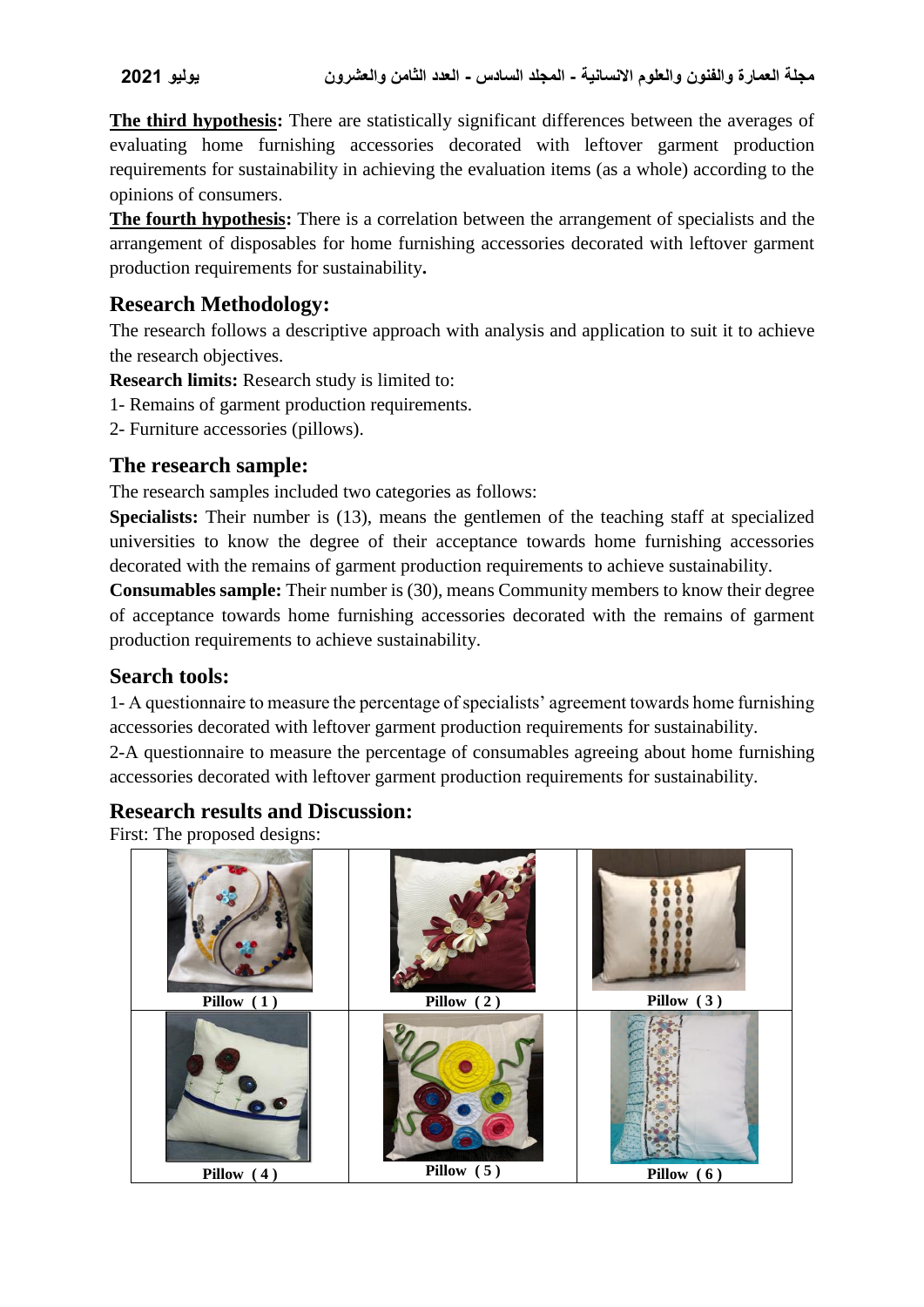**The third hypothesis:** There are statistically significant differences between the averages of evaluating home furnishing accessories decorated with leftover garment production requirements for sustainability in achieving the evaluation items (as a whole) according to the opinions of consumers.

**The fourth hypothesis:** There is a correlation between the arrangement of specialists and the arrangement of disposables for home furnishing accessories decorated with leftover garment production requirements for sustainability**.**

## **Research Methodology:**

The research follows a descriptive approach with analysis and application to suit it to achieve the research objectives.

**Research limits:** Research study is limited to:

- 1- Remains of garment production requirements.
- 2- Furniture accessories (pillows).

## **The research sample:**

The research samples included two categories as follows:

**Specialists:** Their number is (13), means the gentlemen of the teaching staff at specialized universities to know the degree of their acceptance towards home furnishing accessories decorated with the remains of garment production requirements to achieve sustainability.

**Consumables sample:** Their number is (30), means Community members to know their degree of acceptance towards home furnishing accessories decorated with the remains of garment production requirements to achieve sustainability.

## **Search tools:**

1- A questionnaire to measure the percentage of specialists' agreement towards home furnishing accessories decorated with leftover garment production requirements for sustainability. 2-A questionnaire to measure the percentage of consumables agreeing about home furnishing accessories decorated with leftover garment production requirements for sustainability.

## **Research results and Discussion:**

First: The proposed designs:

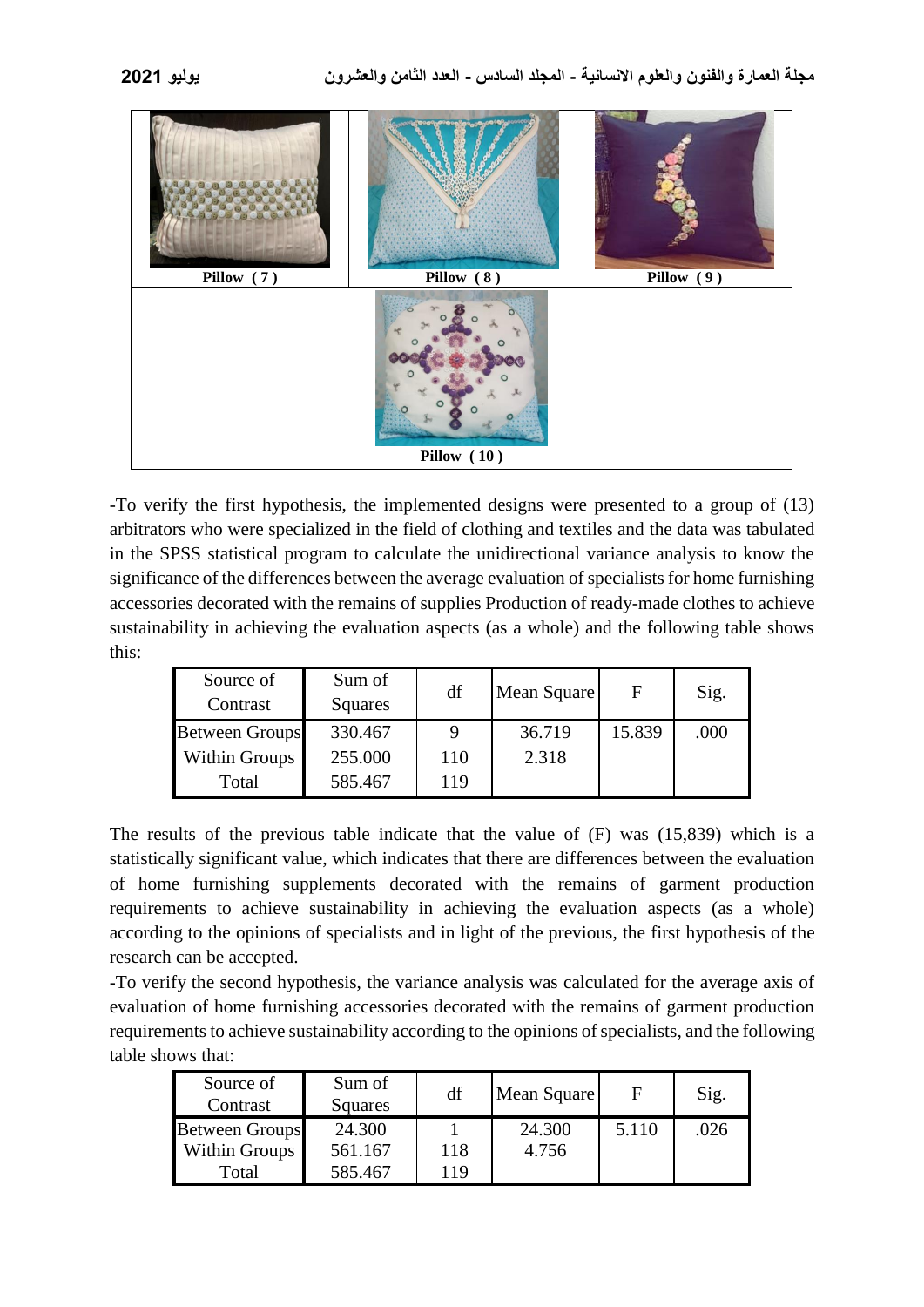

-To verify the first hypothesis, the implemented designs were presented to a group of (13) arbitrators who were specialized in the field of clothing and textiles and the data was tabulated in the SPSS statistical program to calculate the unidirectional variance analysis to know the significance of the differences between the average evaluation of specialists for home furnishing accessories decorated with the remains of supplies Production of ready-made clothes to achieve sustainability in achieving the evaluation aspects (as a whole) and the following table shows this:

| Source of<br>Contrast | Sum of<br>Squares | df  | Mean Square | F      | Sig. |
|-----------------------|-------------------|-----|-------------|--------|------|
| <b>Between Groups</b> | 330.467           |     | 36.719      | 15.839 | .000 |
| Within Groups         | 255.000           | 110 | 2.318       |        |      |
| Total                 | 585.467           | 119 |             |        |      |

The results of the previous table indicate that the value of (F) was (15,839) which is a statistically significant value, which indicates that there are differences between the evaluation of home furnishing supplements decorated with the remains of garment production requirements to achieve sustainability in achieving the evaluation aspects (as a whole) according to the opinions of specialists and in light of the previous, the first hypothesis of the research can be accepted.

-To verify the second hypothesis, the variance analysis was calculated for the average axis of evaluation of home furnishing accessories decorated with the remains of garment production requirements to achieve sustainability according to the opinions of specialists, and the following table shows that:

| Source of<br>Contrast | Sum of<br>Squares | df  | Mean Square | F     | Sig. |
|-----------------------|-------------------|-----|-------------|-------|------|
| <b>Between Groups</b> | 24.300            |     | 24.300      | 5.110 | .026 |
| Within Groups         | 561.167           | 118 | 4.756       |       |      |
| Total                 | 585.467           | 19  |             |       |      |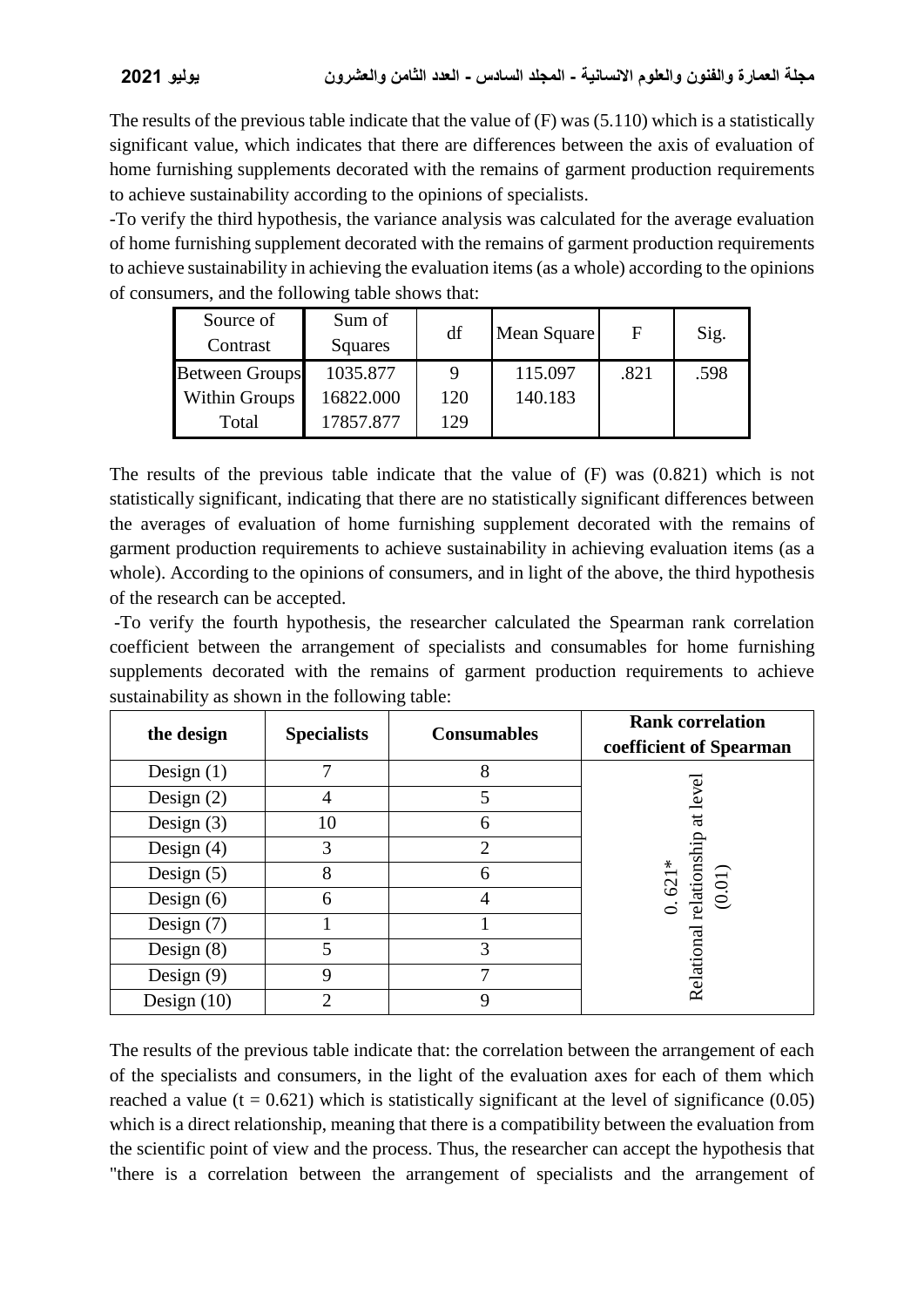The results of the previous table indicate that the value of (F) was (5.110) which is a statistically significant value, which indicates that there are differences between the axis of evaluation of home furnishing supplements decorated with the remains of garment production requirements to achieve sustainability according to the opinions of specialists.

-To verify the third hypothesis, the variance analysis was calculated for the average evaluation of home furnishing supplement decorated with the remains of garment production requirements to achieve sustainability in achieving the evaluation items (as a whole) according to the opinions of consumers, and the following table shows that:

| Source of<br>Contrast | Sum of<br>Squares | df  | Mean Square | F    | Sig. |
|-----------------------|-------------------|-----|-------------|------|------|
| <b>Between Groups</b> | 1035.877          | 9   | 115.097     | .821 | .598 |
| Within Groups         | 16822.000         | 120 | 140.183     |      |      |
| Total                 | 17857.877         | 129 |             |      |      |

The results of the previous table indicate that the value of (F) was (0.821) which is not statistically significant, indicating that there are no statistically significant differences between the averages of evaluation of home furnishing supplement decorated with the remains of garment production requirements to achieve sustainability in achieving evaluation items (as a whole). According to the opinions of consumers, and in light of the above, the third hypothesis of the research can be accepted.

-To verify the fourth hypothesis, the researcher calculated the Spearman rank correlation coefficient between the arrangement of specialists and consumables for home furnishing supplements decorated with the remains of garment production requirements to achieve sustainability as shown in the following table:

| the design    | <b>Specialists</b> | <b>Consumables</b> | <b>Rank correlation</b><br>coefficient of Spearman                    |
|---------------|--------------------|--------------------|-----------------------------------------------------------------------|
| Design $(1)$  | 7                  | 8                  |                                                                       |
| Design $(2)$  |                    | 5                  | at level                                                              |
| Design $(3)$  | 10                 | 6                  |                                                                       |
| Design $(4)$  | 3                  | $\overline{2}$     | $\begin{array}{l} 0.621* \\ {\rm relationship} \\ (0.01) \end{array}$ |
| Design $(5)$  | 8                  | 6                  |                                                                       |
| Design $(6)$  | 6                  | 4                  |                                                                       |
| Design $(7)$  |                    |                    |                                                                       |
| Design $(8)$  |                    | 3                  |                                                                       |
| Design $(9)$  | 9                  |                    | Relational                                                            |
| Design $(10)$ | ∍                  | 9                  |                                                                       |

The results of the previous table indicate that: the correlation between the arrangement of each of the specialists and consumers, in the light of the evaluation axes for each of them which reached a value ( $t = 0.621$ ) which is statistically significant at the level of significance (0.05) which is a direct relationship, meaning that there is a compatibility between the evaluation from the scientific point of view and the process. Thus, the researcher can accept the hypothesis that "there is a correlation between the arrangement of specialists and the arrangement of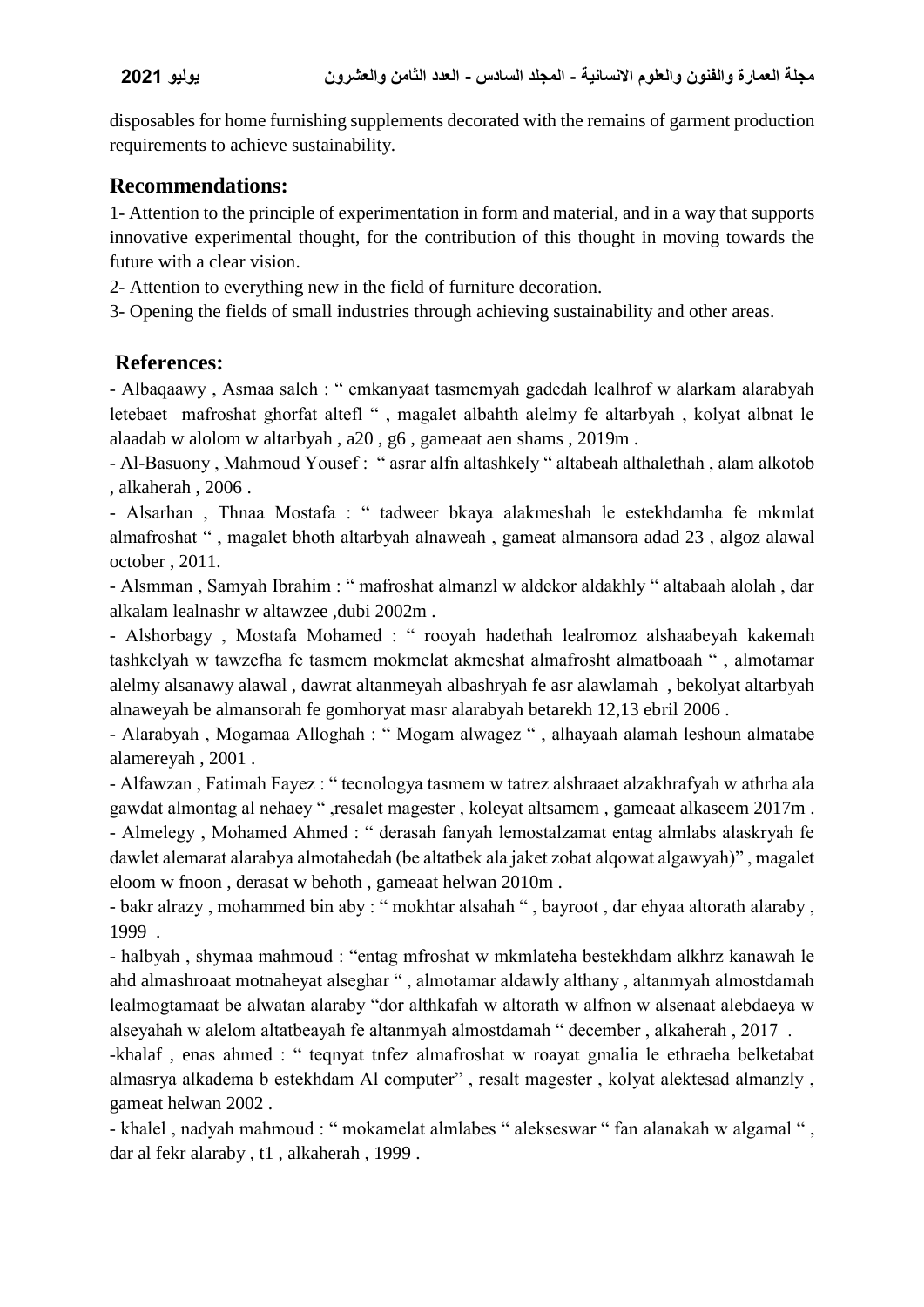disposables for home furnishing supplements decorated with the remains of garment production requirements to achieve sustainability.

## **Recommendations:**

1- Attention to the principle of experimentation in form and material, and in a way that supports innovative experimental thought, for the contribution of this thought in moving towards the future with a clear vision.

2- Attention to everything new in the field of furniture decoration.

3- Opening the fields of small industries through achieving sustainability and other areas.

## **References:**

- Albaqaawy , Asmaa saleh : " emkanyaat tasmemyah gadedah lealhrof w alarkam alarabyah letebaet mafroshat ghorfat altefl " , magalet albahth alelmy fe altarbyah , kolyat albnat le alaadab w alolom w altarbyah , a20 , g6 , gameaat aen shams , 2019m .

- Al-Basuony , Mahmoud Yousef : " asrar alfn altashkely " altabeah althalethah , alam alkotob , alkaherah , 2006 .

- Alsarhan , Thnaa Mostafa : " tadweer bkaya alakmeshah le estekhdamha fe mkmlat almafroshat " , magalet bhoth altarbyah alnaweah , gameat almansora adad 23 , algoz alawal october , 2011.

- Alsmman , Samyah Ibrahim : " mafroshat almanzl w aldekor aldakhly " altabaah alolah , dar alkalam lealnashr w altawzee ,dubi 2002m .

- Alshorbagy , Mostafa Mohamed : " rooyah hadethah lealromoz alshaabeyah kakemah tashkelyah w tawzefha fe tasmem mokmelat akmeshat almafrosht almatboaah " , almotamar alelmy alsanawy alawal , dawrat altanmeyah albashryah fe asr alawlamah , bekolyat altarbyah alnaweyah be almansorah fe gomhoryat masr alarabyah betarekh 12,13 ebril 2006 .

- Alarabyah , Mogamaa Alloghah : " Mogam alwagez " , alhayaah alamah leshoun almatabe alamereyah , 2001 .

- Alfawzan , Fatimah Fayez : " tecnologya tasmem w tatrez alshraaet alzakhrafyah w athrha ala gawdat almontag al nehaey " ,resalet magester , koleyat altsamem , gameaat alkaseem 2017m .

- Almelegy , Mohamed Ahmed : " derasah fanyah lemostalzamat entag almlabs alaskryah fe dawlet alemarat alarabya almotahedah (be altatbek ala jaket zobat alqowat algawyah)" , magalet eloom w fnoon , derasat w behoth , gameaat helwan 2010m .

- bakr alrazy , mohammed bin aby : " mokhtar alsahah " , bayroot , dar ehyaa altorath alaraby , 1999 .

- halbyah , shymaa mahmoud : "entag mfroshat w mkmlateha bestekhdam alkhrz kanawah le ahd almashroaat motnaheyat alseghar " , almotamar aldawly althany , altanmyah almostdamah lealmogtamaat be alwatan alaraby "dor althkafah w altorath w alfnon w alsenaat alebdaeya w alseyahah w alelom altatbeayah fe altanmyah almostdamah " december , alkaherah , 2017 .

-khalaf , enas ahmed : " teqnyat tnfez almafroshat w roayat gmalia le ethraeha belketabat almasrya alkadema b estekhdam Al computer" , resalt magester , kolyat alektesad almanzly , gameat helwan 2002 .

- khalel , nadyah mahmoud : " mokamelat almlabes " alekseswar " fan alanakah w algamal " , dar al fekr alaraby , t1 , alkaherah , 1999 .